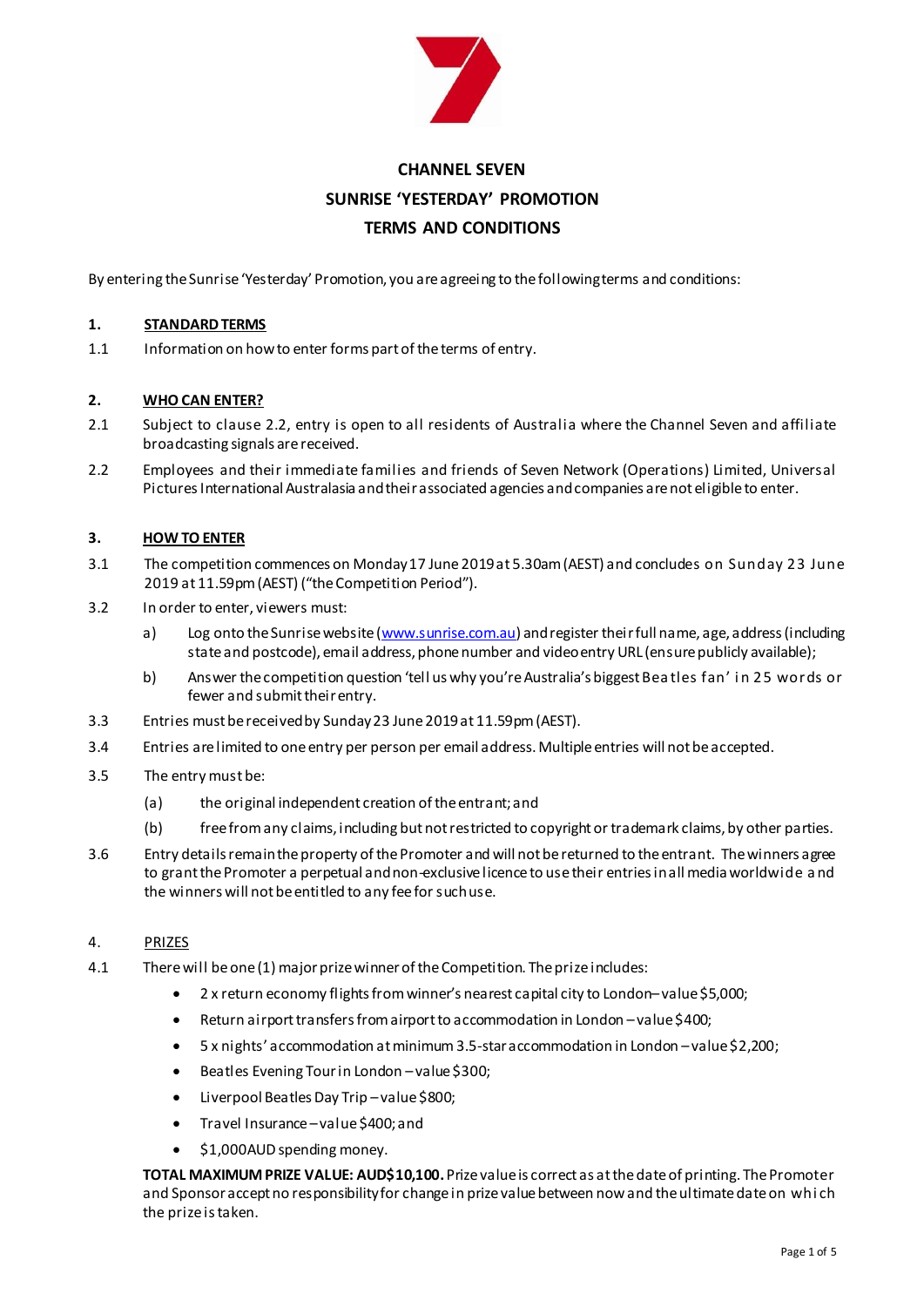

# **CHANNEL SEVEN SUNRISE 'YESTERDAY' PROMOTION TERMS AND CONDITIONS**

By entering the Sunrise 'Yesterday' Promotion, you are agreeing to the following terms and conditions:

#### **1. STANDARD TERMS**

1.1 Information on how to enter forms part of the terms of entry.

## **2. WHO CAN ENTER?**

- 2.1 Subject to clause 2.2, entry is open to all residents of Australia where the Channel Seven and affiliate broadcasting signals are received.
- 2.2 Employees and their immediate families and friends of Seven Network (Operations) Limited, Universal Pictures International Australasia and their associated agencies and companies are not eligible to enter.

#### **3. HOW TO ENTER**

- 3.1 The competition commences on Monday 17 June 2019at 5.30am (AEST) and concludes on Sunday 23 June 2019 at 11.59pm(AEST) ("the Competition Period").
- 3.2 In order to enter, viewers must:
	- a) Log onto the Sunrise website [\(www.sunrise.com.au](http://www.sunrise.com.au/)) and register their full name, age, address (including state and postcode), email address, phone number and video entry URL (ensure publicly available);
	- b) Answer the competition question 'tell us why you're Australia's biggest Bea tles fan' i n 25 words or fewer and submit their entry.
- 3.3 Entries must be received by Sunday23 June 2019at 11.59pm(AEST).
- 3.4 Entries arelimited to one entry per person per email address.Multiple entries will not be accepted.
- 3.5 The entry must be:
	- (a) the original independent creation of the entrant; and
	- (b) free from any claims, including but not restricted to copyright or trademark claims, by other parties.
- 3.6 Entry details remain the property of the Promoter and will not be returned to the entrant. The winners agree to grant the Promoter a perpetual and non-exclusive licence to use their entries in all media worldwide a nd the winners will not be entitled to any fee for such use.

# 4. PRIZES

- 4.1 There will be one(1) major prize winnerof the Competition. The prize includes:
	- 2 x return economy flights from winner's nearest capital city to London–value \$5,000;
	- Return airport transfers from airport to accommodation in London –value \$400;
	- 5 x nights' accommodation at minimum 3.5-star accommodation in London –value \$2,200;
	- Beatles Evening Tour in London –value \$300;
	- Liverpool Beatles Day Trip –value \$800;
	- Travel Insurance –value \$400; and
	- \$1,000AUD spending money.

**TOTAL MAXIMUM PRIZE VALUE: AUD\$10,100.**Prize value is correct as at the date of printing. The Promoter and Sponsor acceptno responsibility for change in prize value between now and the ultimate date on whi ch the prize is taken.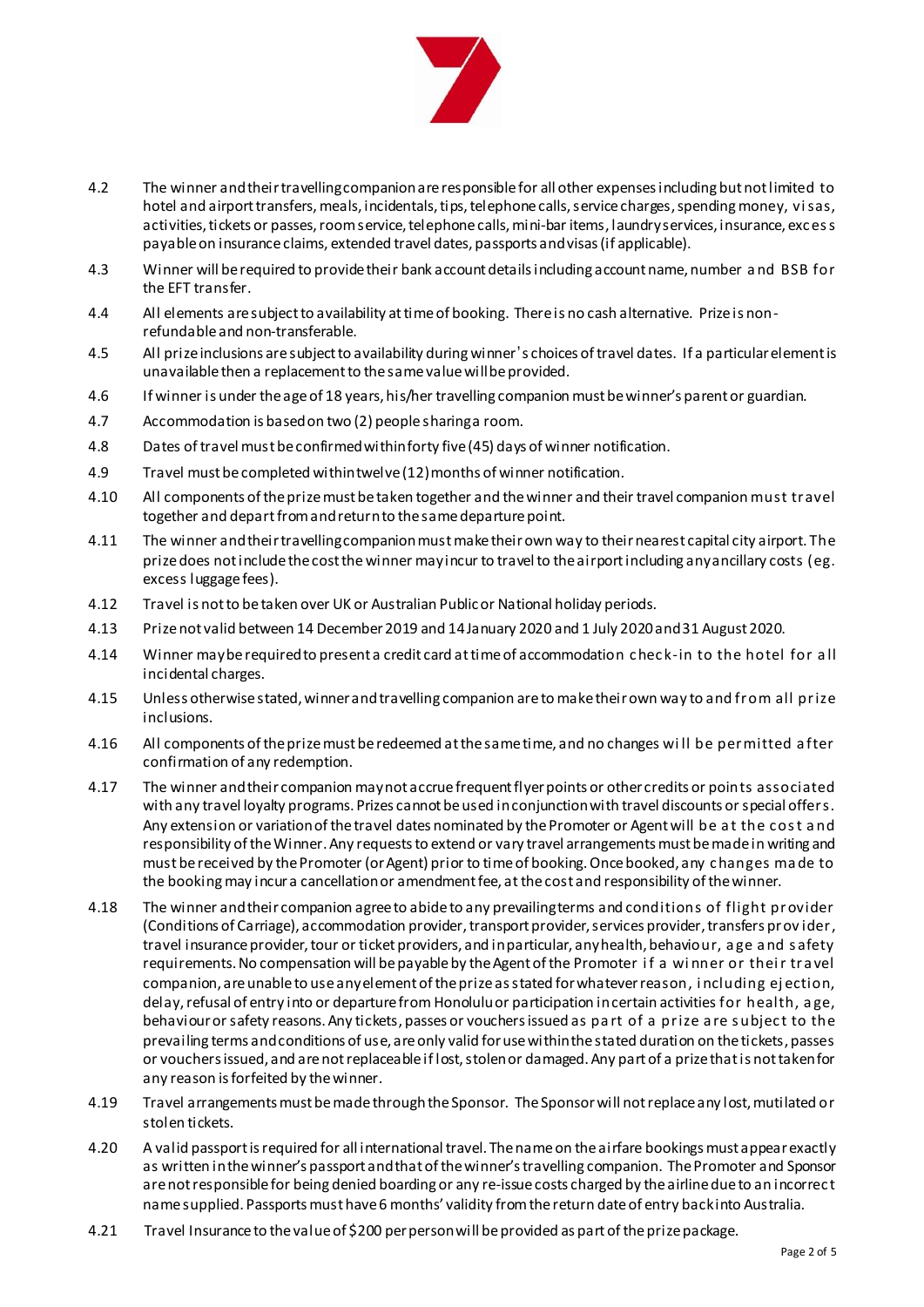

- 4.2 The winner and their travelling companion are responsible for all other expenses including but not limited to hotel and airport transfers, meals, incidentals, tips, telephone calls, service charges, spending money, visas, activities, tickets or passes, room service, telephone calls, mini-bar items, laundry services, insurance, exc es s payable on insurance claims, extended travel dates, passports and visas (if applicable).
- 4.3 Winner will be required to provide their bank account details including account name, number a nd BSB for the EFT transfer.
- 4.4 All elements are subject to availability at time of booking. There is no cash alternative. Prize is nonrefundable and non-transferable.
- 4.5 All prize inclusions are subject to availability during winner's choices of travel dates. If a particular element is unavailable then a replacement to the same value will be provided.
- 4.6 If winner is under the age of 18 years, his/her travelling companion must be winner's parent or guardian.
- 4.7 Accommodation is based on two (2) people sharing a room.
- 4.8 Dates of travel must be confirmed within forty five (45) days of winner notification.
- 4.9 Travel must be completed within twelve (12) months of winner notification.
- 4.10 All components of the prize must be taken together and the winner and their travel companion must travel together and depart from and return to the same departure point.
- 4.11 The winner and their travelling companionmust make their own way to their nearest capital city airport. The prize does not include the cost the winner may incur to travel to theairport including any ancillary costs (eg. excess luggage fees).
- 4.12 Travel is not to be taken over UK or Australian Public or National holiday periods.
- 4.13 Prize not valid between 14 December 2019 and 14 January 2020 and 1 July 2020 and 31 August 2020.
- 4.14 Winner may be required to present a credit card at time of accommodation c hec k-in to the hotel for a ll incidental charges.
- 4.15 Unless otherwise stated, winner and travelling companion are to make their own way to and from all prize inclusions.
- 4.16 All components of the prize must be redeemed at the same time, and no changes wi ll be permitted a fter confirmation of any redemption.
- 4.17 The winner and their companion may not accrue frequent flyer points or other credits or points associated with any travel loyalty programs. Prizes cannot be used in conjunction with travel discounts or special offers. Any extension or variation of the travel dates nominated by the Promoter or Agent will be a t the c os t a nd responsibility of the Winner. Any requests to extend or vary travel arrangements must be made in writing and must be received by the Promoter (or Agent) prior to time of booking. Once booked, any c hanges ma de to the booking may incur a cancellation or amendment fee, at the cost and responsibility of the winner.
- 4.18 The winner and their companion agree to abide to any prevailing terms and conditions of flight provider (Conditions of Carriage), accommodation provider, transport provider, services provider, transfers prov ider, travel insurance provider, tour or ticket providers, and in particular, any health, behaviour, a ge a nd s afety requirements. No compensation will be payable by the Agent of the Promoter i f a wi nner or thei r tra vel companion, are unable to use any element of the prize as stated for whatever reason, i ncluding ej ection, delay, refusal of entry into or departure from Honoluluor participation in certain activities for health, a ge, behaviour or safety reasons. Any tickets, passes or vouchers issued as pa rt of a prize a re s ubjec t to the prevailing terms and conditions of use, are only valid for use within the stated duration on the tickets, passes or vouchers issued, and are not replaceable if lost, stolen or damaged. Any part of a prize that is not taken for any reason is forfeited by the winner.
- 4.19 Travel arrangements must be made through the Sponsor. The Sponsorwill not replace any lost, mutilated or stolen tickets.
- 4.20 A valid passport is required for all international travel. The name on the airfare bookings must appear exactly as written in the winner's passport and that of the winner's travelling companion. The Promoter and Sponsor are not responsible for being denied boarding or any re-issue costs charged by the airline due to an incorrect name supplied. Passports must have 6 months' validity from the return date of entry back into Australia.
- 4.21 Travel Insurance to the value of \$200 per person will be provided as part of the prize package.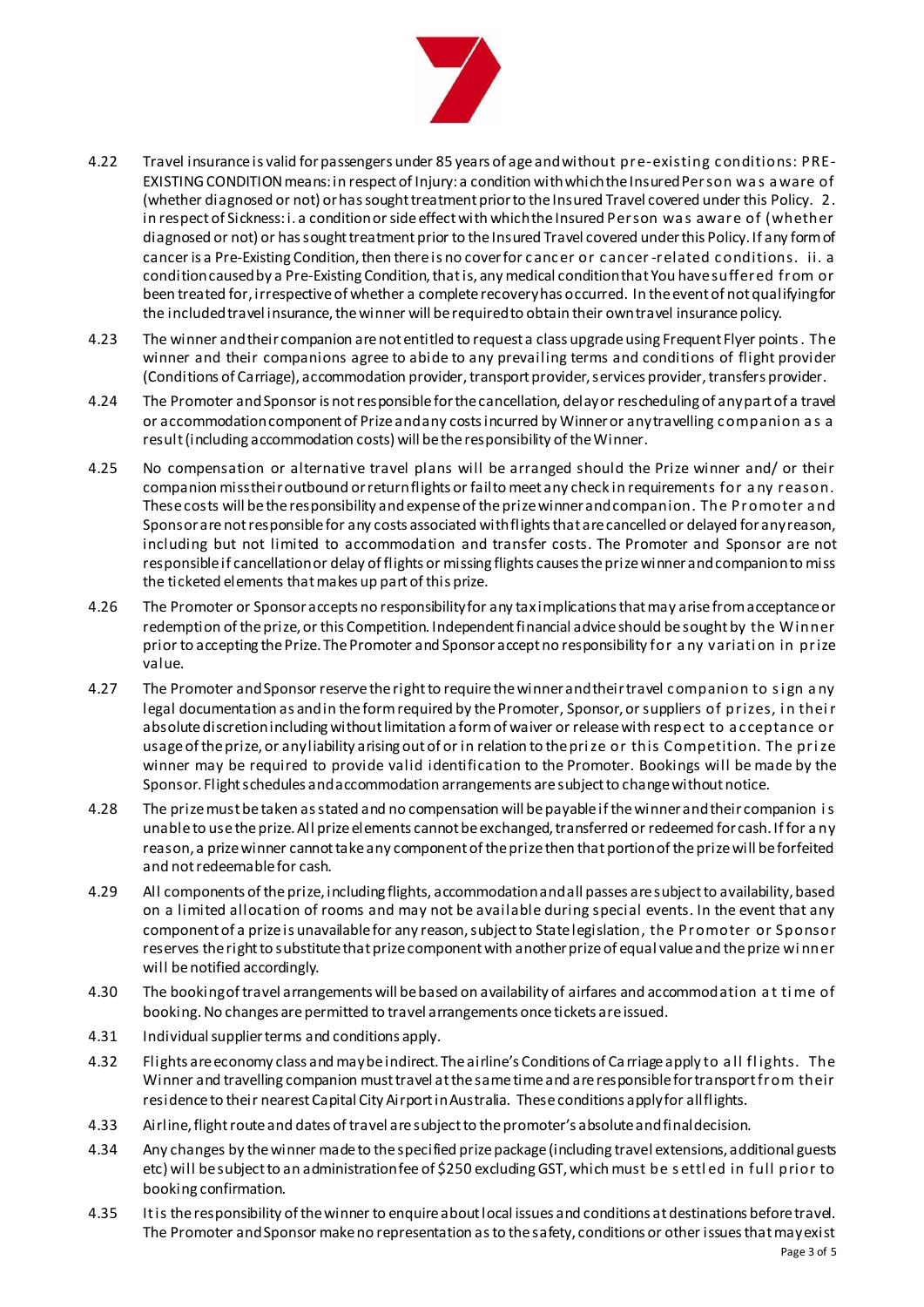

- 4.22 Travel insurance is valid for passengers under 85 years of age and without pre-existing c onditions: PRE-EXISTING CONDITION means: in respect of Injury: a condition with which the Insured Person wa s a ware of (whether diagnosed or not) or has sought treatment prior to the Insured Travel covered under this Policy. 2. in respect of Sickness: i. a condition or side effect with which the Insured Person wa s aware of (whether diagnosed or not) or has sought treatment prior to the Insured Travel covered under this Policy. If any form of cancer is a Pre-Existing Condition, then there is no cover for c anc er or c ancer-related c onditions. ii. a condition caused by a Pre-Existing Condition, that is, any medical condition that You have suffered from or been treated for, irrespective of whether a complete recovery has occurred. In the event of not qualifying for the included travel insurance, the winner will be required to obtain their own travel insurance policy.
- 4.23 The winner and their companion are not entitled to request a class upgrade using Frequent Flyer points. The winner and their companions agree to abide to any prevailing terms and conditions of flight provider (Conditions of Carriage), accommodation provider, transport provider, services provider, transfers provider.
- 4.24 The Promoter and Sponsor is not responsible for the cancellation, delay or rescheduling of any part of a travel or accommodation component of Prize and any costs incurred by Winner or any travelling c ompanion a s a result (including accommodation costs) will be the responsibility of the Winner.
- 4.25 No compensation or alternative travel plans will be arranged should the Prize winner and/ or their companion miss their outbound or return flights or fail to meet any check in requirements for a ny reason. These costs will be the responsibility andexpense of the prize winner and companion. The Promoter a nd Sponsor arenot responsible for any costs associated with flights that are cancelled or delayed for any reason, including but not limited to accommodation and transfer costs. The Promoter and Sponsor are not responsible if cancellation or delay of flights or missing flights causes the prize winner and companion to miss the ticketed elements that makes up part of this prize.
- 4.26 The Promoter or Sponsor accepts no responsibility for any tax implications that may arise from acceptance or redemption of the prize, or this Competition. Independent financial advice should be sought by the Winner prior to accepting the Prize. The Promoter and Sponsor accept no responsibility for a ny variati on in prize value.
- 4.27 The Promoter and Sponsor reservethe right to require the winner and their travel c ompanion to s i gn a ny legal documentation as and in the form required by the Promoter, Sponsor, or suppliers of prizes, in their absolute discretion including without limitation a form of waiver or release with respect to a c ceptance or usage of the prize, or any liability arising out of or in relation to the pri ze or this Competition. The pri ze winner may be required to provide valid identification to the Promoter. Bookings will be made by the Sponsor. Flight schedules and accommodation arrangements are subject to change without notice.
- 4.28 The prize must be taken as stated and no compensation will be payable if the winner and their companion i s unable to use the prize. All prize elements cannot be exchanged, transferred or redeemed for cash. If for a ny reason, a prize winner cannot take any component of the prize then that portion of the prize will be forfeited and not redeemable for cash.
- 4.29 All components of the prize, including flights, accommodationand all passes are subject to availability, based on a limited allocation of rooms and may not be available during special events. In the event that any component of a prize is unavailable for any reason, subject to State legislation, the Promoter or Sponsor reserves the right to substitute that prize component with another prize of equal value and the prize wi nner will be notified accordingly.
- 4.30 The booking of travel arrangements will be based on availability of airfares and accommodation a t ti me of booking. No changes are permitted to travel arrangements once tickets are issued.
- 4.31 Individual supplier terms and conditions apply.
- 4.32 Flights are economy class and may be indirect. The airline's Conditions of Ca rriage apply to a ll fl ights. The Winner and travelling companion must travel at the same time and are responsible for transport from their residence to their nearest Capital City Airport in Australia. These conditions apply for all flights.
- 4.33 Airline, flight route and dates of travel are subject to the promoter's absolute and final decision.
- 4.34 Any changes by the winner made to the specified prize package (including travel extensions, additional guests etc) will be subject to an administration fee of \$250 excluding GST, which must be s ettl ed in full prior to booking confirmation.
- 4.35 It is the responsibility of the winner to enquire about local issues and conditions at destinations before travel. The Promoter and Sponsor make no representation as to the safety, conditions or other issues that may exist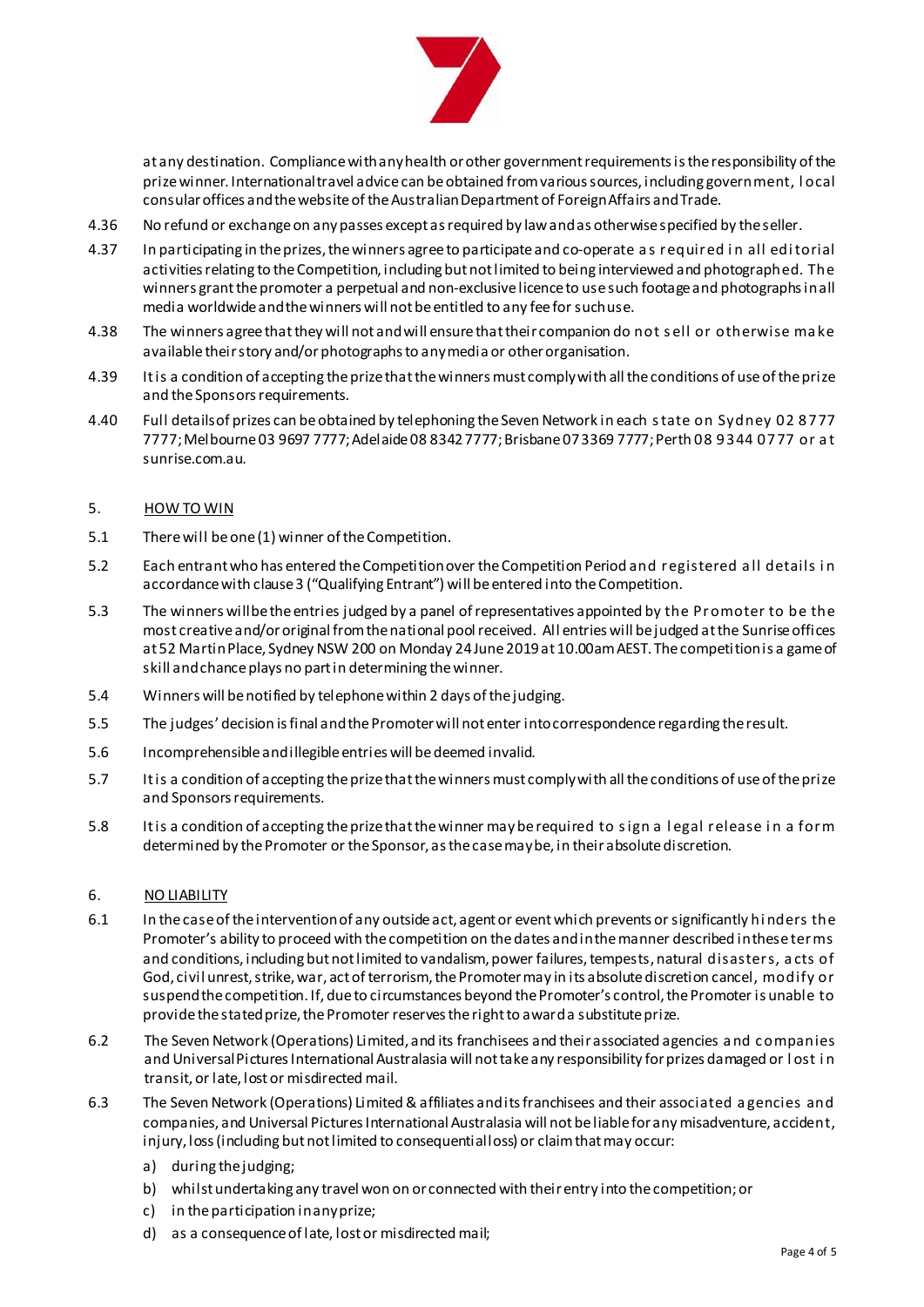

at any destination. Compliance with any health or other government requirements is the responsibility of the prize winner. International travel advice can be obtained from various sources, including government, l ocal consular offices and the website of the Australian Department of Foreign Affairs and Trade.

- 4.36 No refund or exchange on any passes except as required by law and as otherwise specified by the seller.
- 4.37 In participating in the prizes, the winners agree to participate and co-operate a s required i n all edi torial activities relating to the Competition, including but not limited to being interviewed and photographed. The winners grant the promoter a perpetual and non-exclusive licence to use such footage and photographs in all media worldwide and the winners will not be entitled to any fee for such use.
- 4.38 The winners agree that they will not and will ensure that their companion do not s ell or otherwise ma ke available their story and/or photographs to any media or other organisation.
- 4.39 It is a condition of accepting the prize that the winners must comply with all the conditions of use of the prize and the Sponsors requirements.
- 4.40 Full details of prizes can be obtained by telephoning the Seven Network in each s tate on Sydney 02 8777 7777; Melbourne 03 9697 7777; Adelaide 08 8342 7777; Brisbane 07 3369 7777; Perth 08 9344 0777 or a t [sunrise.com.au](file:///C:/Documents%20and%20Settings/USERS/JakoT/HOME/yahoo7.com.au/sunrise).

## 5. HOW TO WIN

- 5.1 There will be one(1) winner of the Competition.
- 5.2 Each entrant who has entered the Competition over the Competition Period and registered a ll details i n accordance with clause 3 ("Qualifying Entrant") will be entered into the Competition.
- 5.3 The winners will be the entries judged by a panel of representatives appointed by the Promoter to be the most creative and/or original from the national pool received. All entries will be judged at the Sunriseoffices at 52 Martin Place, Sydney NSW 200 on Monday 24June2019at 10.00amAEST. The competition is a game of skill and chance plays no part in determining the winner.
- 5.4 Winners will be notified by telephone within 2 days of the judging.
- 5.5 The judges' decision is final and the Promoter will not enter into correspondence regarding the result.
- 5.6 Incomprehensible and illegible entries will be deemed invalid.
- 5.7 It is a condition of accepting the prize that the winners must comply with all the conditions of use of the prize and Sponsors requirements.
- 5.8 It is a condition of accepting the prize that the winner may be required to sign a legal release in a form determined by the Promoter or the Sponsor, as the case may be, in their absolute discretion.

# 6. NO LIABILITY

- 6.1 In the case of the intervention of any outside act, agent or event which prevents or significantly hi nders the Promoter's ability to proceed with the competition on the dates and in the manner described in these terms and conditions, including but not limited to vandalism, power failures, tempests, natural disasters, a cts of God, civil unrest, strike, war, act of terrorism, the Promoter may in its absolute discretion cancel, modify or suspend the competition. If, due to circumstances beyond the Promoter's control, the Promoter is unable to provide the stated prize, the Promoter reserves the right to award a substitute prize.
- 6.2 The Seven Network (Operations) Limited, and its franchisees and their associated agencies a nd c ompanies and Universal Pictures International Australasia will not take any responsibility for prizes damaged or lost in transit, or late, lost or misdirected mail.
- 6.3 The Seven Network (Operations) Limited & affiliates and its franchisees and their associated a gencies and companies, and Universal Pictures International Australasia will not beliable for any misadventure, accident, injury, loss (including but not limited to consequential loss) or claim that may occur:
	- a) during the judging;
	- b) whilst undertaking any travel won on or connected with their entry into the competition; or
	- c) in the participation in any prize;
	- d) as a consequence of late, lost or misdirected mail;